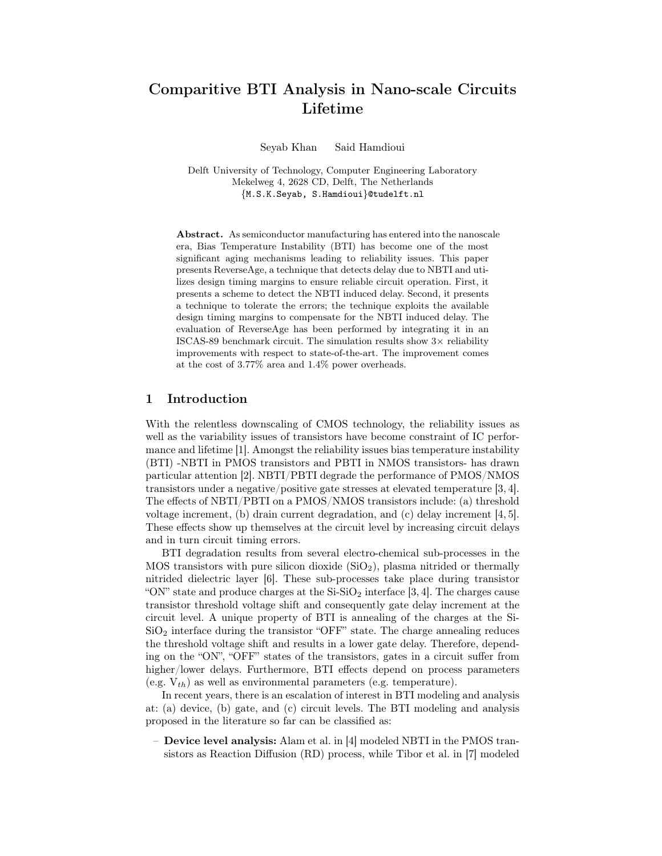# Comparitive BTI Analysis in Nano-scale Circuits Lifetime

Seyab Khan Said Hamdioui

Delft University of Technology, Computer Engineering Laboratory Mekelweg 4, 2628 CD, Delft, The Netherlands {M.S.K.Seyab, S.Hamdioui}@tudelft.nl

Abstract. As semiconductor manufacturing has entered into the nanoscale era, Bias Temperature Instability (BTI) has become one of the most significant aging mechanisms leading to reliability issues. This paper presents ReverseAge, a technique that detects delay due to NBTI and utilizes design timing margins to ensure reliable circuit operation. First, it presents a scheme to detect the NBTI induced delay. Second, it presents a technique to tolerate the errors; the technique exploits the available design timing margins to compensate for the NBTI induced delay. The evaluation of ReverseAge has been performed by integrating it in an ISCAS-89 benchmark circuit. The simulation results show  $3\times$  reliability improvements with respect to state-of-the-art. The improvement comes at the cost of 3.77% area and 1.4% power overheads.

#### 1 Introduction

With the relentless downscaling of CMOS technology, the reliability issues as well as the variability issues of transistors have become constraint of IC performance and lifetime [1]. Amongst the reliability issues bias temperature instability (BTI) -NBTI in PMOS transistors and PBTI in NMOS transistors- has drawn particular attention [2]. NBTI/PBTI degrade the performance of PMOS/NMOS transistors under a negative/positive gate stresses at elevated temperature [3, 4]. The effects of NBTI/PBTI on a PMOS/NMOS transistors include: (a) threshold voltage increment, (b) drain current degradation, and (c) delay increment [4, 5]. These effects show up themselves at the circuit level by increasing circuit delays and in turn circuit timing errors.

BTI degradation results from several electro-chemical sub-processes in the MOS transistors with pure silicon dioxide  $(SiO<sub>2</sub>)$ , plasma nitrided or thermally nitrided dielectric layer [6]. These sub-processes take place during transistor "ON" state and produce charges at the  $Si-SiO<sub>2</sub>$  interface [3, 4]. The charges cause transistor threshold voltage shift and consequently gate delay increment at the circuit level. A unique property of BTI is annealing of the charges at the Si- $SiO<sub>2</sub>$  interface during the transistor "OFF" state. The charge annealing reduces the threshold voltage shift and results in a lower gate delay. Therefore, depending on the "ON", "OFF" states of the transistors, gates in a circuit suffer from higher/lower delays. Furthermore, BTI effects depend on process parameters (e.g.  $V_{th}$ ) as well as environmental parameters (e.g. temperature).

In recent years, there is an escalation of interest in BTI modeling and analysis at: (a) device, (b) gate, and (c) circuit levels. The BTI modeling and analysis proposed in the literature so far can be classified as:

– Device level analysis: Alam et al. in [4] modeled NBTI in the PMOS transistors as Reaction Diffusion (RD) process, while Tibor et al. in [7] modeled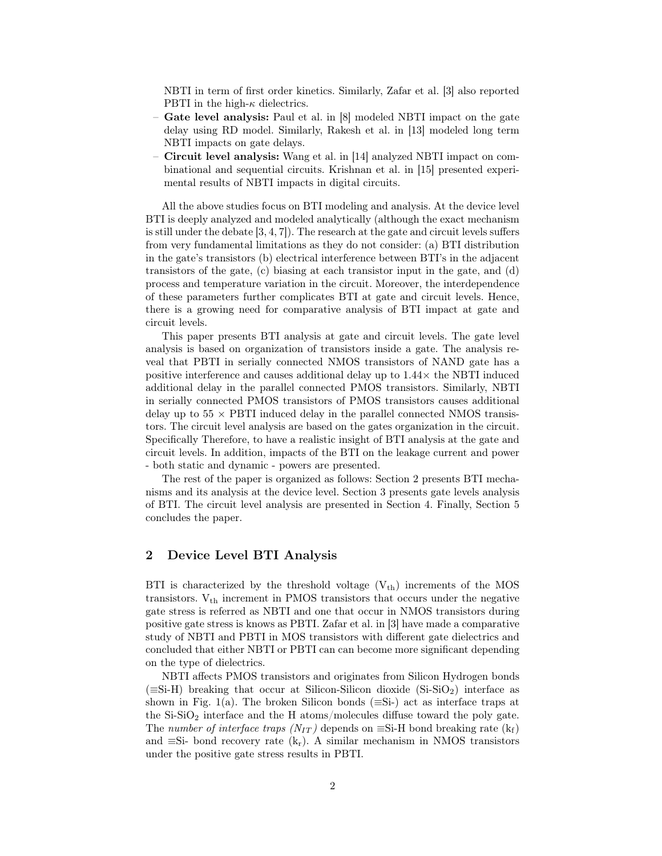NBTI in term of first order kinetics. Similarly, Zafar et al. [3] also reported PBTI in the high- $\kappa$  dielectrics.

- Gate level analysis: Paul et al. in [8] modeled NBTI impact on the gate delay using RD model. Similarly, Rakesh et al. in [13] modeled long term NBTI impacts on gate delays.
- Circuit level analysis: Wang et al. in [14] analyzed NBTI impact on combinational and sequential circuits. Krishnan et al. in [15] presented experimental results of NBTI impacts in digital circuits.

All the above studies focus on BTI modeling and analysis. At the device level BTI is deeply analyzed and modeled analytically (although the exact mechanism is still under the debate [3, 4, 7]). The research at the gate and circuit levels suffers from very fundamental limitations as they do not consider: (a) BTI distribution in the gate's transistors (b) electrical interference between BTI's in the adjacent transistors of the gate, (c) biasing at each transistor input in the gate, and (d) process and temperature variation in the circuit. Moreover, the interdependence of these parameters further complicates BTI at gate and circuit levels. Hence, there is a growing need for comparative analysis of BTI impact at gate and circuit levels.

This paper presents BTI analysis at gate and circuit levels. The gate level analysis is based on organization of transistors inside a gate. The analysis reveal that PBTI in serially connected NMOS transistors of NAND gate has a positive interference and causes additional delay up to  $1.44\times$  the NBTI induced additional delay in the parallel connected PMOS transistors. Similarly, NBTI in serially connected PMOS transistors of PMOS transistors causes additional delay up to  $55 \times \text{PBTI}$  induced delay in the parallel connected NMOS transistors. The circuit level analysis are based on the gates organization in the circuit. Specifically Therefore, to have a realistic insight of BTI analysis at the gate and circuit levels. In addition, impacts of the BTI on the leakage current and power - both static and dynamic - powers are presented.

The rest of the paper is organized as follows: Section 2 presents BTI mechanisms and its analysis at the device level. Section 3 presents gate levels analysis of BTI. The circuit level analysis are presented in Section 4. Finally, Section 5 concludes the paper.

## 2 Device Level BTI Analysis

BTI is characterized by the threshold voltage  $(V_{th})$  increments of the MOS transistors.  $V_{th}$  increment in PMOS transistors that occurs under the negative gate stress is referred as NBTI and one that occur in NMOS transistors during positive gate stress is knows as PBTI. Zafar et al. in [3] have made a comparative study of NBTI and PBTI in MOS transistors with different gate dielectrics and concluded that either NBTI or PBTI can can become more significant depending on the type of dielectrics.

NBTI affects PMOS transistors and originates from Silicon Hydrogen bonds  $(\equiv S_i-H)$  breaking that occur at Silicon-Silicon dioxide  $(S_i-S_iO_2)$  interface as shown in Fig. 1(a). The broken Silicon bonds ( $\equiv$ Si-) act as interface traps at the  $Si-SiO<sub>2</sub>$  interface and the H atoms/molecules diffuse toward the poly gate. The number of interface traps  $(N_{IT})$  depends on  $\equiv$ Si-H bond breaking rate  $(k_f)$ and  $\equiv$ Si- bond recovery rate (k<sub>r</sub>). A similar mechanism in NMOS transistors under the positive gate stress results in PBTI.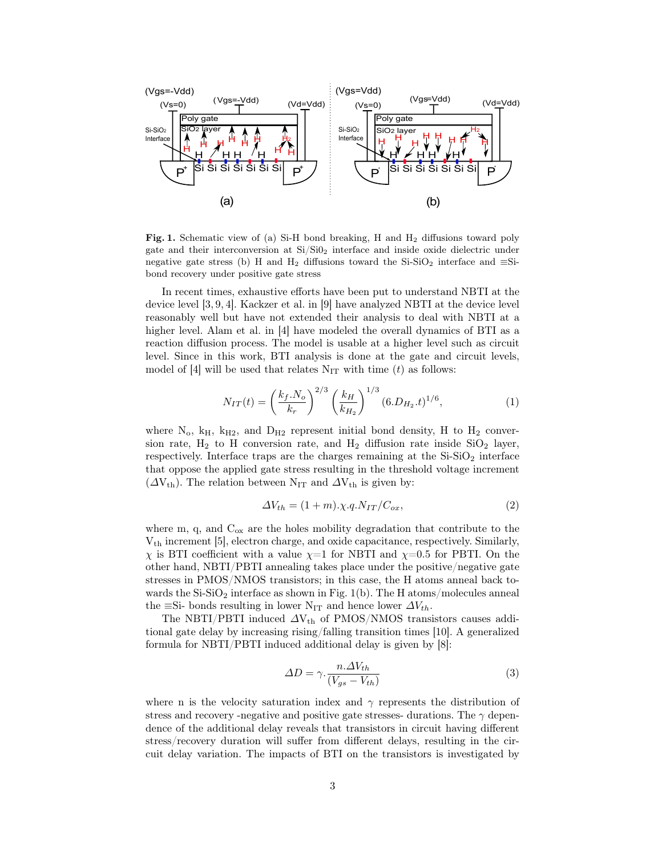

Fig. 1. Schematic view of (a) Si-H bond breaking, H and  $H_2$  diffusions toward poly gate and their interconversion at Si/Si0<sup>2</sup> interface and inside oxide dielectric under negative gate stress (b) H and H<sub>2</sub> diffusions toward the Si-SiO<sub>2</sub> interface and  $\equiv$ Sibond recovery under positive gate stress

In recent times, exhaustive efforts have been put to understand NBTI at the device level [3, 9, 4]. Kackzer et al. in [9] have analyzed NBTI at the device level reasonably well but have not extended their analysis to deal with NBTI at a higher level. Alam et al. in [4] have modeled the overall dynamics of BTI as a reaction diffusion process. The model is usable at a higher level such as circuit level. Since in this work, BTI analysis is done at the gate and circuit levels, model of [4] will be used that relates  $N_{IT}$  with time (t) as follows:

$$
N_{IT}(t) = \left(\frac{k_f N_o}{k_r}\right)^{2/3} \left(\frac{k_H}{k_{H_2}}\right)^{1/3} (6.D_{H_2}.t)^{1/6},\tag{1}
$$

where  $N_o$ ,  $k_H$ ,  $k_{H2}$ , and  $D_{H2}$  represent initial bond density, H to  $H_2$  conversion rate,  $H_2$  to H conversion rate, and  $H_2$  diffusion rate inside  $SiO_2$  layer, respectively. Interface traps are the charges remaining at the  $Si-SiO<sub>2</sub>$  interface that oppose the applied gate stress resulting in the threshold voltage increment  $(\Delta V_{th})$ . The relation between N<sub>IT</sub> and  $\Delta V_{th}$  is given by:

$$
\Delta V_{th} = (1+m)\cdot \chi.q.N_{IT}/C_{ox},\tag{2}
$$

where m, q, and  $C_{ox}$  are the holes mobility degradation that contribute to the Vth increment [5], electron charge, and oxide capacitance, respectively. Similarly,  $\chi$  is BTI coefficient with a value  $\chi=1$  for NBTI and  $\chi=0.5$  for PBTI. On the other hand, NBTI/PBTI annealing takes place under the positive/negative gate stresses in PMOS/NMOS transistors; in this case, the H atoms anneal back towards the  $Si-SiO<sub>2</sub>$  interface as shown in Fig. 1(b). The H atoms/molecules anneal the ≡Si- bonds resulting in lower N<sub>IT</sub> and hence lower  $\Delta V_{th}$ .

The NBTI/PBTI induced  $\Delta V_{th}$  of PMOS/NMOS transistors causes additional gate delay by increasing rising/falling transition times [10]. A generalized formula for NBTI/PBTI induced additional delay is given by [8]:

$$
\Delta D = \gamma \cdot \frac{n \cdot \Delta V_{th}}{(V_{gs} - V_{th})} \tag{3}
$$

where n is the velocity saturation index and  $\gamma$  represents the distribution of stress and recovery -negative and positive gate stresses- durations. The  $\gamma$  dependence of the additional delay reveals that transistors in circuit having different stress/recovery duration will suffer from different delays, resulting in the circuit delay variation. The impacts of BTI on the transistors is investigated by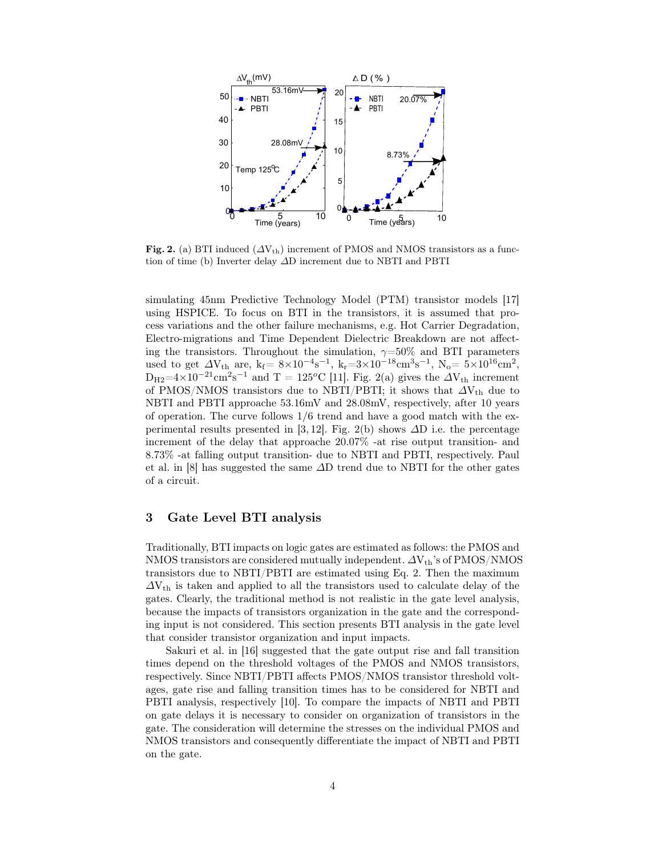

Fig. 2. (a) BTI induced  $(\Delta V_{th})$  increment of PMOS and NMOS transistors as a function of time (b) Inverter delay ∆D increment due to NBTI and PBTI

simulating 45nm Predictive Technology Model (PTM) transistor models [17] using HSPICE. To focus on BTI in the transistors, it is assumed that process variations and the other failure mechanisms, e.g. Hot Carrier Degradation, Electro-migrations and Time Dependent Dielectric Breakdown are not affecting the transistors. Throughout the simulation,  $\gamma = 50\%$  and BTI parameters used to get  $\Delta V_{\text{th}}$  are, k<sub>f</sub> =  $8 \times 10^{-4} \text{s}^{-1}$ , k<sub>r</sub> =  $3 \times 10^{-18} \text{cm}^3 \text{s}^{-1}$ , N<sub>o</sub> =  $5 \times 10^{16} \text{cm}^2$ ,  $D_{H2}=4\times10^{-21}$  cm<sup>2</sup>s<sup>-1</sup> and T = 125<sup>o</sup>C [11]. Fig. 2(a) gives the  $\Delta V_{th}$  increment of PMOS/NMOS transistors due to NBTI/PBTI; it shows that  $\Delta V_{th}$  due to NBTI and PBTI approache 53.16mV and 28.08mV, respectively, after 10 years of operation. The curve follows  $1/6$  trend and have a good match with the experimental results presented in [3, 12]. Fig. 2(b) shows  $\Delta D$  i.e. the percentage increment of the delay that approache 20.07% -at rise output transition- and 8.73% -at falling output transition- due to NBTI and PBTI, respectively. Paul et al. in [8] has suggested the same ∆D trend due to NBTI for the other gates of a circuit.

## 3 Gate Level BTI analysis

Traditionally, BTI impacts on logic gates are estimated as follows: the PMOS and NMOS transistors are considered mutually independent.  $\Delta V_{th}$ 's of PMOS/NMOS transistors due to NBTI/PBTI are estimated using Eq. 2. Then the maximum  $\Delta V_{th}$  is taken and applied to all the transistors used to calculate delay of the gates. Clearly, the traditional method is not realistic in the gate level analysis, because the impacts of transistors organization in the gate and the corresponding input is not considered. This section presents BTI analysis in the gate level that consider transistor organization and input impacts.

Sakuri et al. in [16] suggested that the gate output rise and fall transition times depend on the threshold voltages of the PMOS and NMOS transistors, respectively. Since NBTI/PBTI affects PMOS/NMOS transistor threshold voltages, gate rise and falling transition times has to be considered for NBTI and PBTI analysis, respectively [10]. To compare the impacts of NBTI and PBTI on gate delays it is necessary to consider on organization of transistors in the gate. The consideration will determine the stresses on the individual PMOS and NMOS transistors and consequently differentiate the impact of NBTI and PBTI on the gate.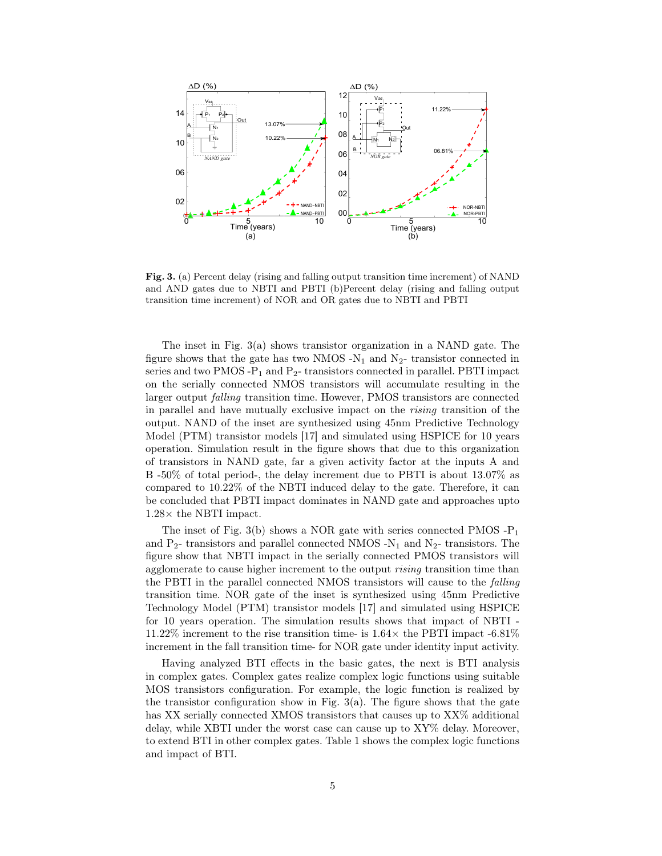

Fig. 3. (a) Percent delay (rising and falling output transition time increment) of NAND and AND gates due to NBTI and PBTI (b)Percent delay (rising and falling output transition time increment) of NOR and OR gates due to NBTI and PBTI

The inset in Fig. 3(a) shows transistor organization in a NAND gate. The figure shows that the gate has two NMOS  $-N_1$  and  $N_2$ - transistor connected in series and two PMOS - $P_1$  and  $P_2$ - transistors connected in parallel. PBTI impact on the serially connected NMOS transistors will accumulate resulting in the larger output falling transition time. However, PMOS transistors are connected in parallel and have mutually exclusive impact on the rising transition of the output. NAND of the inset are synthesized using 45nm Predictive Technology Model (PTM) transistor models [17] and simulated using HSPICE for 10 years operation. Simulation result in the figure shows that due to this organization of transistors in NAND gate, far a given activity factor at the inputs A and B -50% of total period-, the delay increment due to PBTI is about 13.07% as compared to 10.22% of the NBTI induced delay to the gate. Therefore, it can be concluded that PBTI impact dominates in NAND gate and approaches upto 1.28× the NBTI impact.

The inset of Fig. 3(b) shows a NOR gate with series connected PMOS  $-P_1$ and  $P_2$ - transistors and parallel connected NMOS -N<sub>1</sub> and N<sub>2</sub>- transistors. The figure show that NBTI impact in the serially connected PMOS transistors will agglomerate to cause higher increment to the output *rising* transition time than the PBTI in the parallel connected NMOS transistors will cause to the falling transition time. NOR gate of the inset is synthesized using 45nm Predictive Technology Model (PTM) transistor models [17] and simulated using HSPICE for 10 years operation. The simulation results shows that impact of NBTI - 11.22% increment to the rise transition time- is  $1.64\times$  the PBTI impact  $-6.81\%$ increment in the fall transition time- for NOR gate under identity input activity.

Having analyzed BTI effects in the basic gates, the next is BTI analysis in complex gates. Complex gates realize complex logic functions using suitable MOS transistors configuration. For example, the logic function is realized by the transistor configuration show in Fig.  $3(a)$ . The figure shows that the gate has XX serially connected XMOS transistors that causes up to  $XX\%$  additional delay, while XBTI under the worst case can cause up to XY% delay. Moreover, to extend BTI in other complex gates. Table 1 shows the complex logic functions and impact of BTI.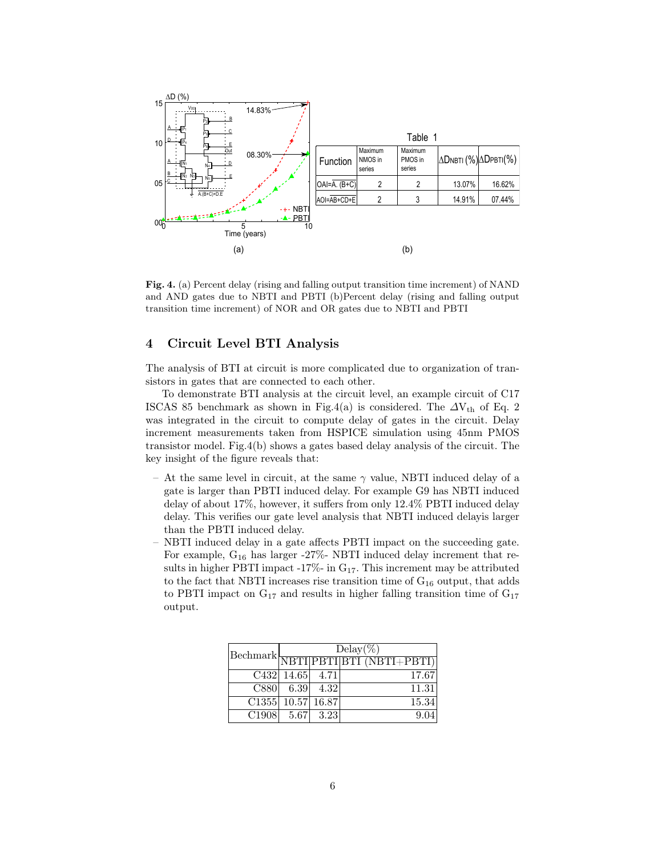

Fig. 4. (a) Percent delay (rising and falling output transition time increment) of NAND and AND gates due to NBTI and PBTI (b)Percent delay (rising and falling output transition time increment) of NOR and OR gates due to NBTI and PBTI

## 4 Circuit Level BTI Analysis

The analysis of BTI at circuit is more complicated due to organization of transistors in gates that are connected to each other.

To demonstrate BTI analysis at the circuit level, an example circuit of C17 ISCAS 85 benchmark as shown in Fig.4(a) is considered. The  $\Delta V_{th}$  of Eq. 2 was integrated in the circuit to compute delay of gates in the circuit. Delay increment measurements taken from HSPICE simulation using 45nm PMOS transistor model. Fig.4(b) shows a gates based delay analysis of the circuit. The key insight of the figure reveals that:

- At the same level in circuit, at the same  $\gamma$  value, NBTI induced delay of a gate is larger than PBTI induced delay. For example G9 has NBTI induced delay of about 17%, however, it suffers from only 12.4% PBTI induced delay delay. This verifies our gate level analysis that NBTI induced delayis larger than the PBTI induced delay.
- NBTI induced delay in a gate affects PBTI impact on the succeeding gate. For example, G<sup>16</sup> has larger -27%- NBTI induced delay increment that results in higher PBTI impact -17%- in  $G_{17}$ . This increment may be attributed to the fact that NBTI increases rise transition time of  $G_{16}$  output, that adds to PBTI impact on  $G_{17}$  and results in higher falling transition time of  $G_{17}$ output.

|                                | $Delay(\%)$<br>$\boxed{\text{Bechmark}}{\boxed{\text{NBTI} \text{PBTI}}{\boxed{\text{BTI}}\text{ (NBTI+PBTI)}}}$ |  |       |
|--------------------------------|------------------------------------------------------------------------------------------------------------------|--|-------|
|                                |                                                                                                                  |  |       |
|                                | C432 14.65 4.71                                                                                                  |  | 17.67 |
|                                | $C880 $ 6.39 4.32                                                                                                |  | 11.31 |
| $\overline{C1355}$ 10.57 16.87 |                                                                                                                  |  | 15.34 |
| $C1908$ 5.67 3.23              |                                                                                                                  |  |       |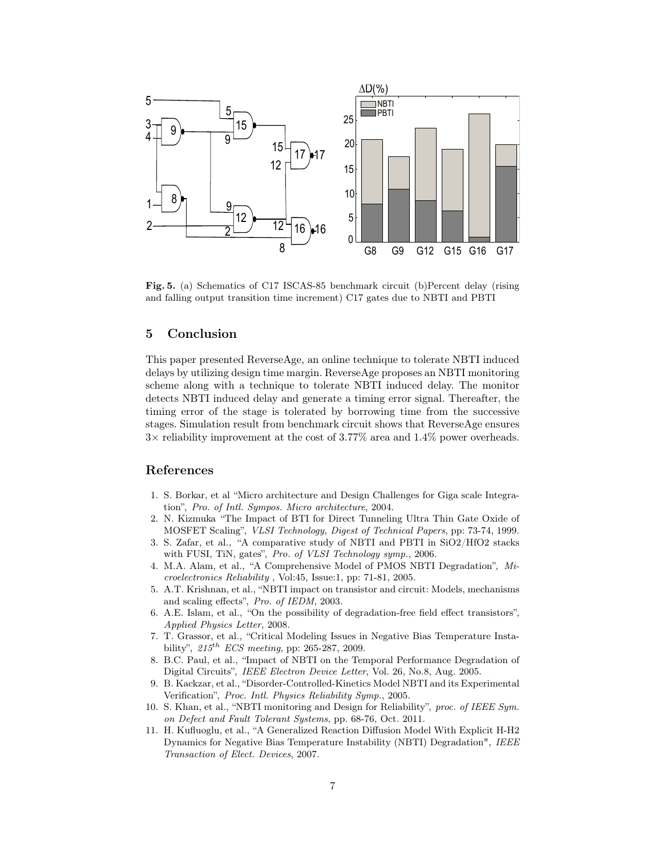

Fig. 5. (a) Schematics of C17 ISCAS-85 benchmark circuit (b)Percent delay (rising and falling output transition time increment) C17 gates due to NBTI and PBTI

#### 5 Conclusion

This paper presented ReverseAge, an online technique to tolerate NBTI induced delays by utilizing design time margin. ReverseAge proposes an NBTI monitoring scheme along with a technique to tolerate NBTI induced delay. The monitor detects NBTI induced delay and generate a timing error signal. Thereafter, the timing error of the stage is tolerated by borrowing time from the successive stages. Simulation result from benchmark circuit shows that ReverseAge ensures 3× reliability improvement at the cost of 3.77% area and 1.4% power overheads.

#### References

- 1. S. Borkar, et al "Micro architecture and Design Challenges for Giga scale Integration", Pro. of Intl. Sympos. Micro architecture, 2004.
- 2. N. Kizmuka "The Impact of BTI for Direct Tunneling Ultra Thin Gate Oxide of MOSFET Scaling", VLSI Technology, Digest of Technical Papers, pp: 73-74, 1999.
- 3. S. Zafar, et al., "A comparative study of NBTI and PBTI in SiO2/HfO2 stacks with FUSI, TiN, gates", Pro. of VLSI Technology symp., 2006.
- 4. M.A. Alam, et al., "A Comprehensive Model of PMOS NBTI Degradation", Microelectronics Reliability , Vol:45, Issue:1, pp: 71-81, 2005.
- 5. A.T. Krishnan, et al., "NBTI impact on transistor and circuit: Models, mechanisms and scaling effects", Pro. of IEDM, 2003.
- 6. A.E. Islam, et al., "On the possibility of degradation-free field effect transistors", Applied Physics Letter, 2008.
- 7. T. Grassor, et al., "Critical Modeling Issues in Negative Bias Temperature Instability",  $215^{th}$  ECS meeting, pp: 265-287, 2009.
- 8. B.C. Paul, et al., "Impact of NBTI on the Temporal Performance Degradation of Digital Circuits", IEEE Electron Device Letter, Vol. 26, No.8, Aug. 2005.
- 9. B. Kackzar, et al., "Disorder-Controlled-Kinetics Model NBTI and its Experimental Verification", Proc. Intl. Physics Reliability Symp., 2005.
- 10. S. Khan, et al., "NBTI monitoring and Design for Reliability", proc. of IEEE Sym. on Defect and Fault Tolerant Systems, pp. 68-76, Oct. 2011.
- 11. H. Kufluoglu, et al., "A Generalized Reaction Diffusion Model With Explicit H-H2 Dynamics for Negative Bias Temperature Instability (NBTI) Degradation", IEEE Transaction of Elect. Devices, 2007.